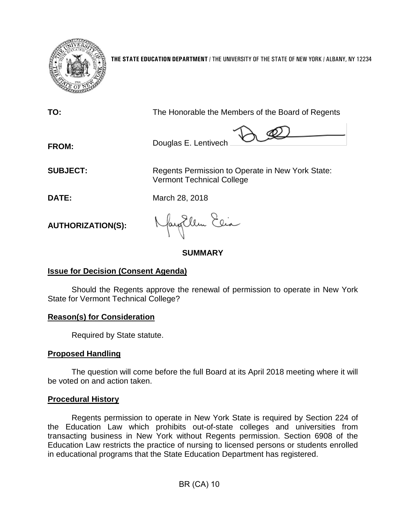

**THE STATE EDUCATION DEPARTMENT** / THE UNIVERSITY OF THE STATE OF NEW YORK / ALBANY, NY 12234

**TO:** The Honorable the Members of the Board of Regents  $\lambda$   $\mathscr{Q}$ **FROM:** Douglas E. Lentivech **SUBJECT:** Regents Permission to Operate in New York State: Vermont Technical College **DATE:** March 28, 2018 Jay Ellen Elia **AUTHORIZATION(S):**

**SUMMARY**

# **Issue for Decision (Consent Agenda)**

Should the Regents approve the renewal of permission to operate in New York State for Vermont Technical College?

# **Reason(s) for Consideration**

Required by State statute.

# **Proposed Handling**

The question will come before the full Board at its April 2018 meeting where it will be voted on and action taken.

# **Procedural History**

Regents permission to operate in New York State is required by Section 224 of the Education Law which prohibits out-of-state colleges and universities from transacting business in New York without Regents permission. Section 6908 of the Education Law restricts the practice of nursing to licensed persons or students enrolled in educational programs that the State Education Department has registered.